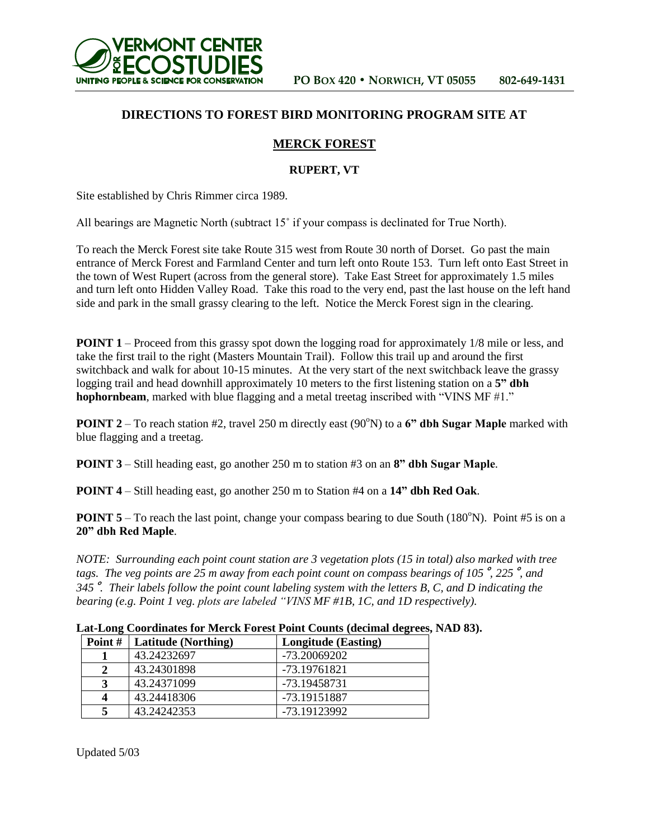

## **DIRECTIONS TO FOREST BIRD MONITORING PROGRAM SITE AT**

## **MERCK FOREST**

## **RUPERT, VT**

Site established by Chris Rimmer circa 1989.

All bearings are Magnetic North (subtract 15˚ if your compass is declinated for True North).

To reach the Merck Forest site take Route 315 west from Route 30 north of Dorset. Go past the main entrance of Merck Forest and Farmland Center and turn left onto Route 153. Turn left onto East Street in the town of West Rupert (across from the general store). Take East Street for approximately 1.5 miles and turn left onto Hidden Valley Road. Take this road to the very end, past the last house on the left hand side and park in the small grassy clearing to the left. Notice the Merck Forest sign in the clearing.

**POINT 1** – Proceed from this grassy spot down the logging road for approximately 1/8 mile or less, and take the first trail to the right (Masters Mountain Trail). Follow this trail up and around the first switchback and walk for about 10-15 minutes. At the very start of the next switchback leave the grassy logging trail and head downhill approximately 10 meters to the first listening station on a **5" dbh hophornbeam**, marked with blue flagging and a metal treetag inscribed with "VINS MF #1."

**POINT 2** – To reach station #2, travel 250 m directly east (90°N) to a 6" dbh Sugar Maple marked with blue flagging and a treetag.

**POINT 3** – Still heading east, go another 250 m to station #3 on an **8" dbh Sugar Maple**.

**POINT 4** – Still heading east, go another 250 m to Station #4 on a **14" dbh Red Oak**.

**POINT 5** – To reach the last point, change your compass bearing to due South  $(180^{\circ}N)$ . Point #5 is on a **20" dbh Red Maple**.

*NOTE: Surrounding each point count station are 3 vegetation plots (15 in total) also marked with tree tags. The veg points are 25 m away from each point count on compass bearings of 105*˚*, 225*˚*, and 345*˚*. Their labels follow the point count labeling system with the letters B, C, and D indicating the bearing (e.g. Point 1 veg. plots are labeled "VINS MF #1B, 1C, and 1D respectively).*

|  | Lat-Long Coordinates for Merck Forest Point Counts (decimal degrees, NAD 83). |  |  |
|--|-------------------------------------------------------------------------------|--|--|
|  |                                                                               |  |  |
|  |                                                                               |  |  |
|  |                                                                               |  |  |

| Point # | Latitude (Northing) | <b>Longitude</b> (Easting) |
|---------|---------------------|----------------------------|
|         | 43.24232697         | -73.20069202               |
|         | 43.24301898         | -73.19761821               |
| 3       | 43.24371099         | -73.19458731               |
|         | 43.24418306         | -73.19151887               |
|         | 43.24242353         | -73.19123992               |

Updated 5/03